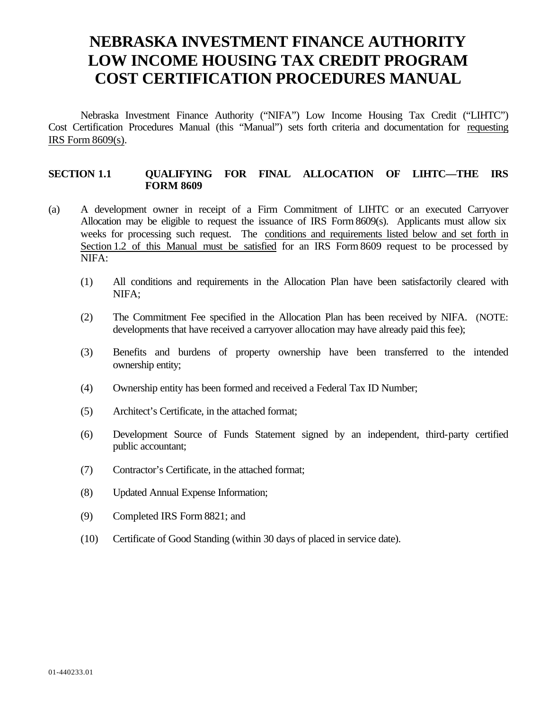# **NEBRASKA INVESTMENT FINANCE AUTHORITY LOW INCOME HOUSING TAX CREDIT PROGRAM COST CERTIFICATION PROCEDURES MANUAL**

Nebraska Investment Finance Authority ("NIFA") Low Income Housing Tax Credit ("LIHTC") Cost Certification Procedures Manual (this "Manual") sets forth criteria and documentation for requesting IRS Form 8609(s).

#### **SECTION 1.1 QUALIFYING FOR FINAL ALLOCATION OF LIHTC—THE IRS FORM 8609**

- (a) A development owner in receipt of a Firm Commitment of LIHTC or an executed Carryover Allocation may be eligible to request the issuance of IRS Form 8609(s). Applicants must allow six weeks for processing such request. The conditions and requirements listed below and set forth in Section 1.2 of this Manual must be satisfied for an IRS Form 8609 request to be processed by NIFA:
	- (1) All conditions and requirements in the Allocation Plan have been satisfactorily cleared with NIFA;
	- (2) The Commitment Fee specified in the Allocation Plan has been received by NIFA. (NOTE: developments that have received a carryover allocation may have already paid this fee);
	- (3) Benefits and burdens of property ownership have been transferred to the intended ownership entity;
	- (4) Ownership entity has been formed and received a Federal Tax ID Number;
	- (5) Architect's Certificate, in the attached format;
	- (6) Development Source of Funds Statement signed by an independent, third-party certified public accountant;
	- (7) Contractor's Certificate, in the attached format;
	- (8) Updated Annual Expense Information;
	- (9) Completed IRS Form 8821; and
	- (10) Certificate of Good Standing (within 30 days of placed in service date).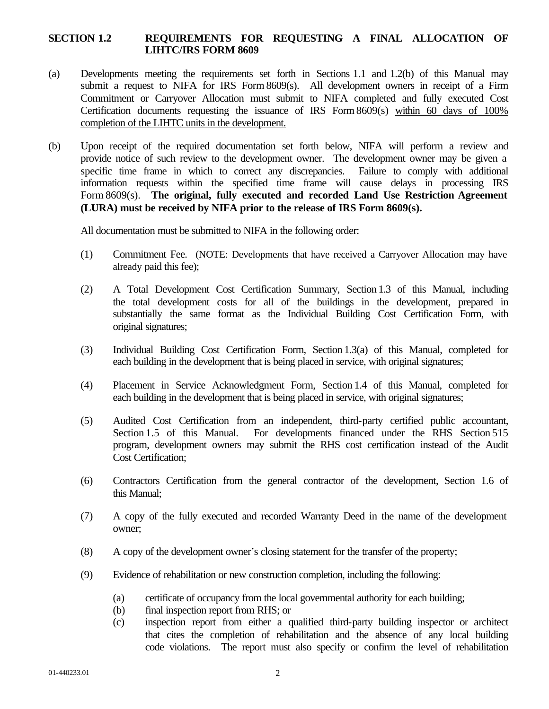## **SECTION 1.2 REQUIREMENTS FOR REQUESTING A FINAL ALLOCATION OF LIHTC/IRS FORM 8609**

- (a) Developments meeting the requirements set forth in Sections 1.1 and 1.2(b) of this Manual may submit a request to NIFA for IRS Form 8609(s). All development owners in receipt of a Firm Commitment or Carryover Allocation must submit to NIFA completed and fully executed Cost Certification documents requesting the issuance of IRS Form 8609(s) within 60 days of 100% completion of the LIHTC units in the development.
- (b) Upon receipt of the required documentation set forth below, NIFA will perform a review and provide notice of such review to the development owner. The development owner may be given a specific time frame in which to correct any discrepancies. Failure to comply with additional information requests within the specified time frame will cause delays in processing IRS Form 8609(s). **The original, fully executed and recorded Land Use Restriction Agreement (LURA) must be received by NIFA prior to the release of IRS Form 8609(s).**

All documentation must be submitted to NIFA in the following order:

- (1) Commitment Fee. (NOTE: Developments that have received a Carryover Allocation may have already paid this fee);
- (2) A Total Development Cost Certification Summary, Section 1.3 of this Manual, including the total development costs for all of the buildings in the development, prepared in substantially the same format as the Individual Building Cost Certification Form, with original signatures;
- (3) Individual Building Cost Certification Form, Section 1.3(a) of this Manual, completed for each building in the development that is being placed in service, with original signatures;
- (4) Placement in Service Acknowledgment Form, Section 1.4 of this Manual, completed for each building in the development that is being placed in service, with original signatures;
- (5) Audited Cost Certification from an independent, third-party certified public accountant, Section 1.5 of this Manual. For developments financed under the RHS Section 515 program, development owners may submit the RHS cost certification instead of the Audit Cost Certification;
- (6) Contractors Certification from the general contractor of the development, Section 1.6 of this Manual;
- (7) A copy of the fully executed and recorded Warranty Deed in the name of the development owner;
- (8) A copy of the development owner's closing statement for the transfer of the property;
- (9) Evidence of rehabilitation or new construction completion, including the following:
	- (a) certificate of occupancy from the local governmental authority for each building;
	- (b) final inspection report from RHS; or
	- (c) inspection report from either a qualified third-party building inspector or architect that cites the completion of rehabilitation and the absence of any local building code violations. The report must also specify or confirm the level of rehabilitation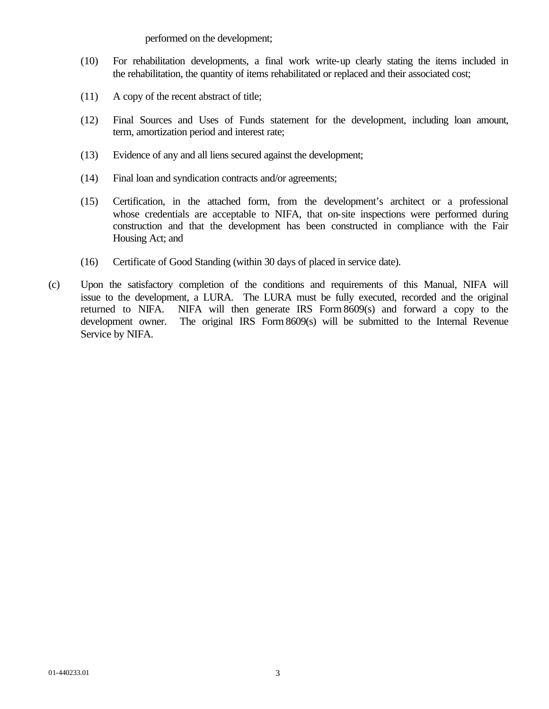performed on the development;

- (10) For rehabilitation developments, a final work write-up clearly stating the items included in the rehabilitation, the quantity of items rehabilitated or replaced and their associated cost;
- (11) A copy of the recent abstract of title;
- (12) Final Sources and Uses of Funds statement for the development, including loan amount, term, amortization period and interest rate;
- (13) Evidence of any and all liens secured against the development;
- (14) Final loan and syndication contracts and/or agreements;
- (15) Certification, in the attached form, from the development's architect or a professional whose credentials are acceptable to NIFA, that on-site inspections were performed during construction and that the development has been constructed in compliance with the Fair Housing Act; and
- (16) Certificate of Good Standing (within 30 days of placed in service date).
- (c) Upon the satisfactory completion of the conditions and requirements of this Manual, NIFA will issue to the development, a LURA. The LURA must be fully executed, recorded and the original returned to NIFA. NIFA will then generate IRS Form 8609(s) and forward a copy to the development owner. The original IRS Form 8609(s) will be submitted to the Internal Revenue Service by NIFA.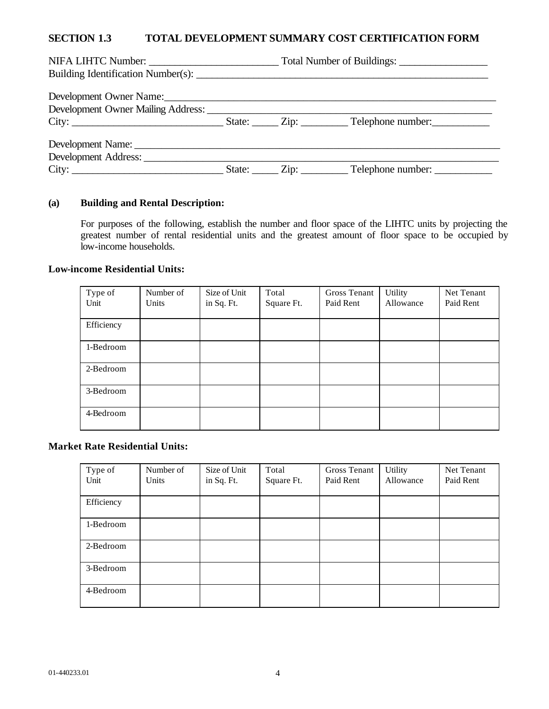#### **SECTION 1.3 TOTAL DEVELOPMENT SUMMARY COST CERTIFICATION FORM**

| NIFA LIHTC Number:                   |  |  |  |
|--------------------------------------|--|--|--|
|                                      |  |  |  |
|                                      |  |  |  |
|                                      |  |  |  |
|                                      |  |  |  |
|                                      |  |  |  |
| Development Address: _______________ |  |  |  |
|                                      |  |  |  |

#### **(a) Building and Rental Description:**

For purposes of the following, establish the number and floor space of the LIHTC units by projecting the greatest number of rental residential units and the greatest amount of floor space to be occupied by low-income households.

#### **Low-income Residential Units:**

| Type of    | Number of | Size of Unit | Total      | Gross Tenant | Utility   | Net Tenant |
|------------|-----------|--------------|------------|--------------|-----------|------------|
| Unit       | Units     | in Sq. Ft.   | Square Ft. | Paid Rent    | Allowance | Paid Rent  |
|            |           |              |            |              |           |            |
| Efficiency |           |              |            |              |           |            |
|            |           |              |            |              |           |            |
| 1-Bedroom  |           |              |            |              |           |            |
|            |           |              |            |              |           |            |
| 2-Bedroom  |           |              |            |              |           |            |
|            |           |              |            |              |           |            |
| 3-Bedroom  |           |              |            |              |           |            |
|            |           |              |            |              |           |            |
| 4-Bedroom  |           |              |            |              |           |            |
|            |           |              |            |              |           |            |

#### **Market Rate Residential Units:**

| Type of    | Number of | Size of Unit | Total      | Gross Tenant | Utility   | Net Tenant |
|------------|-----------|--------------|------------|--------------|-----------|------------|
| Unit       | Units     | in Sq. Ft.   | Square Ft. | Paid Rent    | Allowance | Paid Rent  |
|            |           |              |            |              |           |            |
| Efficiency |           |              |            |              |           |            |
|            |           |              |            |              |           |            |
| 1-Bedroom  |           |              |            |              |           |            |
|            |           |              |            |              |           |            |
| 2-Bedroom  |           |              |            |              |           |            |
|            |           |              |            |              |           |            |
| 3-Bedroom  |           |              |            |              |           |            |
|            |           |              |            |              |           |            |
| 4-Bedroom  |           |              |            |              |           |            |
|            |           |              |            |              |           |            |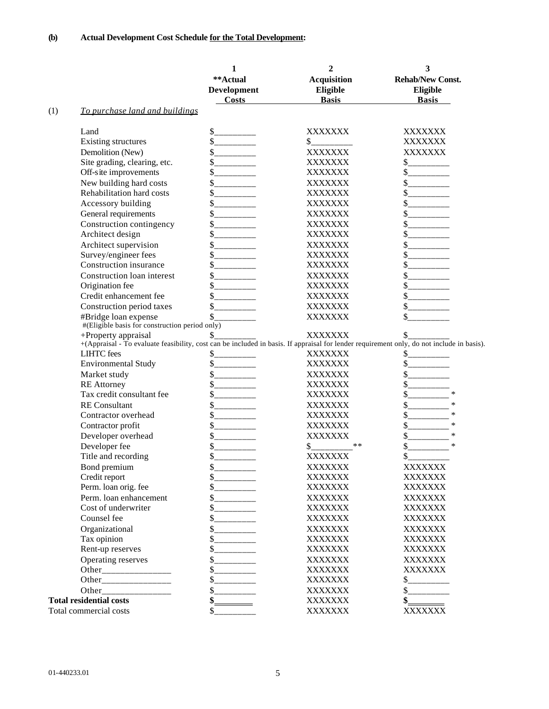|     |                                                                                                                                                                  | 1                              | $\overline{2}$     | 3                                      |
|-----|------------------------------------------------------------------------------------------------------------------------------------------------------------------|--------------------------------|--------------------|----------------------------------------|
|     |                                                                                                                                                                  | **Actual                       | <b>Acquisition</b> | <b>Rehab/New Const.</b>                |
|     |                                                                                                                                                                  | <b>Development</b>             | Eligible           | Eligible                               |
|     |                                                                                                                                                                  | <b>Costs</b>                   | <b>Basis</b>       | <b>Basis</b>                           |
| (1) | To purchase land and buildings                                                                                                                                   |                                |                    |                                        |
|     | Land                                                                                                                                                             | \$<br>_______                  | XXXXXXX            | XXXXXXX                                |
|     | Existing structures                                                                                                                                              | $\mathbb{S}$                   | \$                 | XXXXXXX                                |
|     | Demolition (New)                                                                                                                                                 | \$<br><b>Contract Contract</b> | <b>XXXXXXX</b>     | XXXXXXX                                |
|     | Site grading, clearing, etc.                                                                                                                                     | \$                             | <b>XXXXXXX</b>     |                                        |
|     | Off-site improvements                                                                                                                                            | \$                             | <b>XXXXXXX</b>     | $S$ <sub>__________</sub>              |
|     | New building hard costs                                                                                                                                          | \$                             | <b>XXXXXXX</b>     |                                        |
|     | Rehabilitation hard costs                                                                                                                                        | \$                             | XXXXXXX            |                                        |
|     | Accessory building                                                                                                                                               | \$<br>_________                | XXXXXXX            | $\frac{\text{S}}{\text{S}}$            |
|     | General requirements                                                                                                                                             | \$                             | XXXXXXX            | \$                                     |
|     | Construction contingency                                                                                                                                         | \$                             | XXXXXXX            | \$                                     |
|     | Architect design                                                                                                                                                 | \$                             | XXXXXXX            | \$                                     |
|     | Architect supervision                                                                                                                                            | \$                             | <b>XXXXXXX</b>     | \$                                     |
|     | Survey/engineer fees                                                                                                                                             | \$                             | XXXXXXX            | \$                                     |
|     | Construction insurance                                                                                                                                           | \$                             | <b>XXXXXXX</b>     | \$                                     |
|     | Construction loan interest                                                                                                                                       | \$                             | <b>XXXXXXX</b>     | \$                                     |
|     | Origination fee                                                                                                                                                  | \$                             | <b>XXXXXXX</b>     |                                        |
|     | Credit enhancement fee                                                                                                                                           | \$                             | XXXXXXX            |                                        |
|     | Construction period taxes                                                                                                                                        | \$                             | <b>XXXXXXX</b>     | \$                                     |
|     | #Bridge loan expense                                                                                                                                             | \$                             | XXXXXXX            |                                        |
|     | #(Eligible basis for construction period only)                                                                                                                   |                                |                    |                                        |
|     | +Property appraisal<br>+(Appraisal - To evaluate feasibility, cost can be included in basis. If appraisal for lender requirement only, do not include in basis). | \$                             | <b>XXXXXXX</b>     | \$                                     |
|     | <b>LIHTC</b> fees                                                                                                                                                | \$                             | XXXXXXX            | \$                                     |
|     | <b>Environmental Study</b>                                                                                                                                       | \$<br><u> 1999 - Jan Jawa</u>  | <b>XXXXXXX</b>     | \$                                     |
|     | Market study                                                                                                                                                     | \$                             | XXXXXXX            | \$                                     |
|     | <b>RE</b> Attorney                                                                                                                                               | <u> 1999 - Jan Jawa</u><br>\$  | XXXXXXX            | \$                                     |
|     | Tax credit consultant fee                                                                                                                                        | \$                             | XXXXXXX            | $\ast$<br>\$                           |
|     | <b>RE</b> Consultant                                                                                                                                             | \$                             | XXXXXXX            | $\ast$<br>\$                           |
|     | Contractor overhead                                                                                                                                              | \$                             | <b>XXXXXXX</b>     | \$<br>$\ast$                           |
|     | Contractor profit                                                                                                                                                | \$                             | XXXXXXX            | \$<br>$\ast$                           |
|     |                                                                                                                                                                  | \$                             | <b>XXXXXXX</b>     | $\ast$                                 |
|     | Developer overhead<br>Developer fee                                                                                                                              | \$                             | $**$<br>\$         | \$<br>\$<br>$\ast$                     |
|     | Title and recording                                                                                                                                              | \$                             | <b>XXXXXXX</b>     | \$                                     |
|     |                                                                                                                                                                  | \$.                            | XXXXXXX            | XXXXXXX                                |
|     | Bond premium                                                                                                                                                     |                                | XXXXXXX            | XXXXXXX                                |
|     | Credit report<br>Perm. loan orig. fee                                                                                                                            |                                | XXXXXXX            | XXXXXXX                                |
|     | Perm. loan enhancement                                                                                                                                           | $S$ _________                  |                    |                                        |
|     | Cost of underwriter                                                                                                                                              | $S$ <sub>__________</sub>      | XXXXXXX<br>XXXXXXX | XXXXXXX<br>XXXXXXX                     |
|     | Counsel fee                                                                                                                                                      |                                | <b>XXXXXXX</b>     | XXXXXXX                                |
|     |                                                                                                                                                                  |                                |                    | XXXXXXX                                |
|     | Organizational                                                                                                                                                   |                                | <b>XXXXXXX</b>     |                                        |
|     | Tax opinion                                                                                                                                                      |                                | XXXXXXX            | XXXXXXX                                |
|     | Rent-up reserves                                                                                                                                                 |                                | XXXXXXX            | XXXXXXX                                |
|     | Operating reserves                                                                                                                                               |                                | XXXXXXX            | XXXXXXX                                |
|     |                                                                                                                                                                  |                                | XXXXXXX            | XXXXXXX                                |
|     |                                                                                                                                                                  |                                | XXXXXXX            |                                        |
|     |                                                                                                                                                                  |                                | XXXXXXX            | $S$ <sub>___________</sub> ___         |
|     | <b>Total residential costs</b>                                                                                                                                   | $\frac{\text{S}}{\text{S}}$    | XXXXXXX            | $\frac{\text{S}}{\text{S}}$<br>XXXXXXX |
|     | Total commercial costs                                                                                                                                           | \$                             | <b>XXXXXXX</b>     |                                        |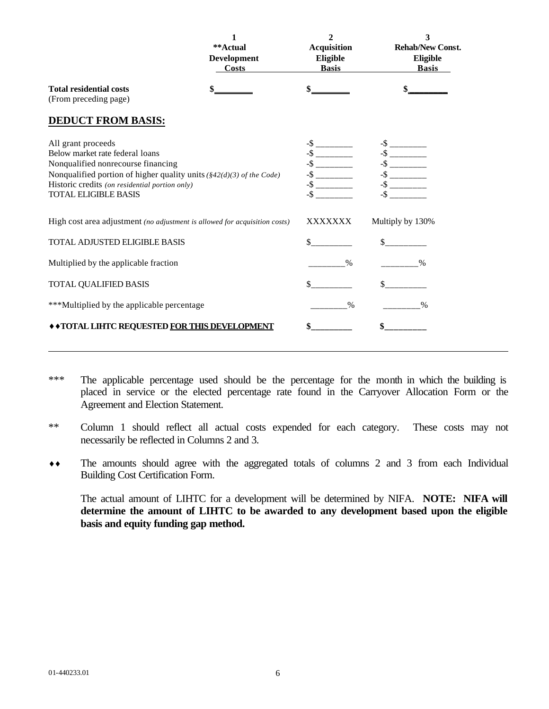|                                                                                                                                                                                                                                                                | 1<br>**Actual<br>Development<br><b>Costs</b> | $\mathbf{2}$<br>Acquisition<br>Eligible<br><b>Basis</b> | 3<br><b>Rehab/New Const.</b><br>Eligible<br><b>Basis</b> |
|----------------------------------------------------------------------------------------------------------------------------------------------------------------------------------------------------------------------------------------------------------------|----------------------------------------------|---------------------------------------------------------|----------------------------------------------------------|
| <b>Total residential costs</b><br>(From preceding page)                                                                                                                                                                                                        |                                              |                                                         |                                                          |
| <b>DEDUCT FROM BASIS:</b>                                                                                                                                                                                                                                      |                                              |                                                         |                                                          |
| All grant proceeds<br>Below market rate federal loans<br>Nonqualified nonrecourse financing<br>Nonqualified portion of higher quality units $(\frac{8}{2}(d)(3)$ of the Code)<br>Historic credits (on residential portion only)<br><b>TOTAL ELIGIBLE BASIS</b> |                                              | $-$ \$ _________<br>$-$ \$ _________                    |                                                          |
| High cost area adjustment (no adjustment is allowed for acquisition costs)                                                                                                                                                                                     |                                              | XXXXXXX                                                 | Multiply by 130%                                         |
| TOTAL ADJUSTED ELIGIBLE BASIS                                                                                                                                                                                                                                  |                                              |                                                         | $\sim$                                                   |
| Multiplied by the applicable fraction                                                                                                                                                                                                                          |                                              | $\%$                                                    | $\%$                                                     |
| TOTAL QUALIFIED BASIS                                                                                                                                                                                                                                          |                                              |                                                         |                                                          |
| ***Multiplied by the applicable percentage                                                                                                                                                                                                                     |                                              | $\%$                                                    | $\%$                                                     |
| " "TOTAL LIHTC REQUESTED FOR THIS DEVELOPMENT                                                                                                                                                                                                                  |                                              |                                                         | \$                                                       |

- \*\*\* The applicable percentage used should be the percentage for the month in which the building is placed in service or the elected percentage rate found in the Carryover Allocation Form or the Agreement and Election Statement.
- \*\* Column 1 should reflect all actual costs expended for each category. These costs may not necessarily be reflected in Columns 2 and 3.
- **¨¨** The amounts should agree with the aggregated totals of columns 2 and 3 from each Individual Building Cost Certification Form.

The actual amount of LIHTC for a development will be determined by NIFA. **NOTE: NIFA will determine the amount of LIHTC to be awarded to any development based upon the eligible basis and equity funding gap method.**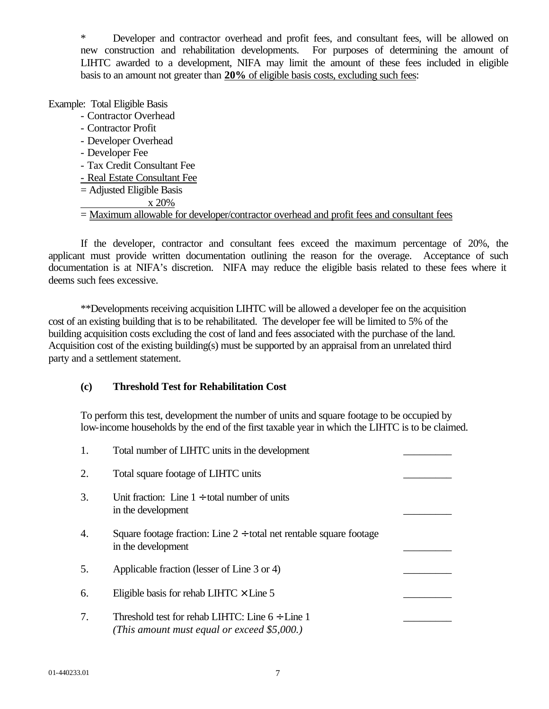\* Developer and contractor overhead and profit fees, and consultant fees, will be allowed on new construction and rehabilitation developments. For purposes of determining the amount of LIHTC awarded to a development, NIFA may limit the amount of these fees included in eligible basis to an amount not greater than **20%** of eligible basis costs, excluding such fees:

Example: Total Eligible Basis

- Contractor Overhead
- Contractor Profit
- Developer Overhead
- Developer Fee
- Tax Credit Consultant Fee
- Real Estate Consultant Fee
- = Adjusted Eligible Basis
	- x 20%

= Maximum allowable for developer/contractor overhead and profit fees and consultant fees

If the developer, contractor and consultant fees exceed the maximum percentage of 20%, the applicant must provide written documentation outlining the reason for the overage. Acceptance of such documentation is at NIFA's discretion. NIFA may reduce the eligible basis related to these fees where it deems such fees excessive.

\*\*Developments receiving acquisition LIHTC will be allowed a developer fee on the acquisition cost of an existing building that is to be rehabilitated. The developer fee will be limited to 5% of the building acquisition costs excluding the cost of land and fees associated with the purchase of the land. Acquisition cost of the existing building(s) must be supported by an appraisal from an unrelated third party and a settlement statement.

# **(c) Threshold Test for Rehabilitation Cost**

To perform this test, development the number of units and square footage to be occupied by low-income households by the end of the first taxable year in which the LIHTC is to be claimed.

| 1. | Total number of LIHTC units in the development                                                      |  |
|----|-----------------------------------------------------------------------------------------------------|--|
| 2. | Total square footage of LIHTC units                                                                 |  |
| 3. | Unit fraction: Line $1 \div$ total number of units<br>in the development                            |  |
| 4. | Square footage fraction: Line $2 \div$ total net rentable square footage<br>in the development      |  |
| 5. | Applicable fraction (lesser of Line 3 or 4)                                                         |  |
| 6. | Eligible basis for rehab LIHTC $\times$ Line 5                                                      |  |
| 7. | Threshold test for rehab LIHTC: Line $6 \div$ Line 1<br>(This amount must equal or exceed \$5,000.) |  |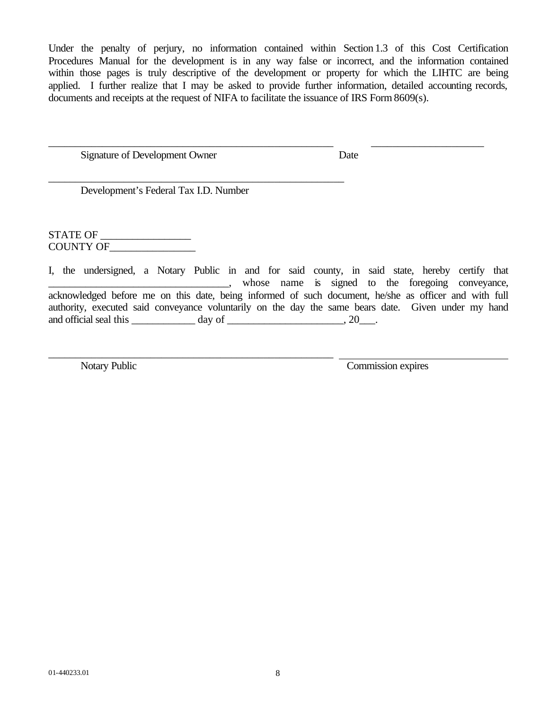Under the penalty of perjury, no information contained within Section 1.3 of this Cost Certification Procedures Manual for the development is in any way false or incorrect, and the information contained within those pages is truly descriptive of the development or property for which the LIHTC are being applied. I further realize that I may be asked to provide further information, detailed accounting records, documents and receipts at the request of NIFA to facilitate the issuance of IRS Form 8609(s).

\_\_\_\_\_\_\_\_\_\_\_\_\_\_\_\_\_\_\_\_\_\_\_\_\_\_\_\_\_\_\_\_\_\_\_\_\_\_\_\_\_\_\_\_\_\_\_\_\_\_\_\_\_ \_\_\_\_\_\_\_\_\_\_\_\_\_\_\_\_\_\_\_\_\_

Signature of Development Owner Date

Development's Federal Tax I.D. Number

\_\_\_\_\_\_\_\_\_\_\_\_\_\_\_\_\_\_\_\_\_\_\_\_\_\_\_\_\_\_\_\_\_\_\_\_\_\_\_\_\_\_\_\_\_\_\_\_\_\_\_\_\_\_\_

\_\_\_\_\_\_\_\_\_\_\_\_\_\_\_\_\_\_\_\_\_\_\_\_\_\_\_\_\_\_\_\_\_\_\_\_\_\_\_\_\_\_\_\_\_\_\_\_\_\_\_\_\_

STATE OF \_\_\_\_\_\_\_\_\_\_\_\_\_\_\_\_\_ COUNTY OF\_\_\_\_\_\_\_\_\_\_\_\_\_\_\_\_

I, the undersigned, a Notary Public in and for said county, in said state, hereby certify that \_\_\_\_\_\_\_\_\_\_\_\_\_\_\_\_\_\_\_\_\_\_\_\_\_\_\_\_\_\_\_\_\_\_, whose name is signed to the foregoing conveyance, acknowledged before me on this date, being informed of such document, he/she as officer and with full authority, executed said conveyance voluntarily on the day the same bears date. Given under my hand and official seal this  $\_\_\_\_\_\_\$  day of  $\_\_\_\_\_\_\_\_\_$ , 20 $\_\_\_\_\_\.\$ 

Notary Public Commission expires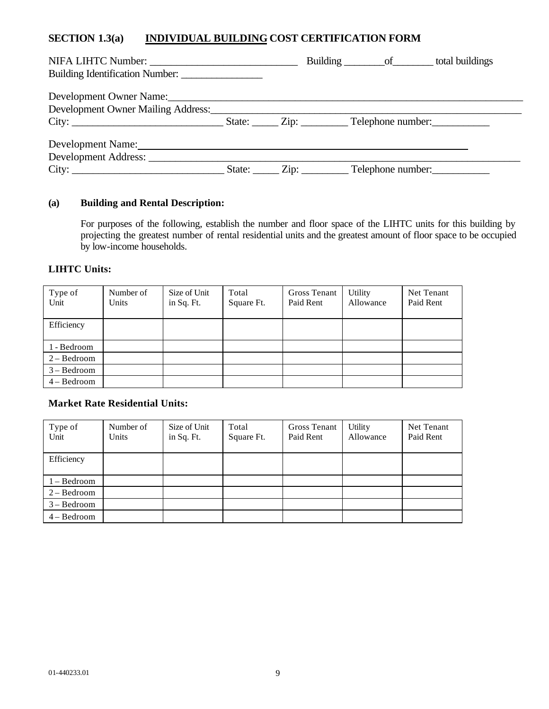# **SECTION 1.3(a) INDIVIDUAL BUILDING COST CERTIFICATION FORM**

|                                                                                                                                                                                                                               |  | Building __________ of __________ total buildings |  |
|-------------------------------------------------------------------------------------------------------------------------------------------------------------------------------------------------------------------------------|--|---------------------------------------------------|--|
| Building Identification Number:                                                                                                                                                                                               |  |                                                   |  |
| Development Owner Name: Name:                                                                                                                                                                                                 |  |                                                   |  |
| Development Owner Mailing Address:                                                                                                                                                                                            |  |                                                   |  |
| City: City: City: City: City: City: City: City: City: City: City: City: City: City: City: City: City: City: City: City: City: City: City: City: City: City: City: City: City: City: City: City: City: City: City: City: City: |  |                                                   |  |
| Development Name:                                                                                                                                                                                                             |  |                                                   |  |
| Development Address: __________                                                                                                                                                                                               |  |                                                   |  |
| City:                                                                                                                                                                                                                         |  | State: <u>Cip:</u> Cip: Telephone number:         |  |

# **(a) Building and Rental Description:**

For purposes of the following, establish the number and floor space of the LIHTC units for this building by projecting the greatest number of rental residential units and the greatest amount of floor space to be occupied by low-income households.

#### **LIHTC Units:**

| Type of<br>Unit | Number of<br>Units | Size of Unit<br>in Sq. Ft. | Total<br>Square Ft. | Gross Tenant<br>Paid Rent | Utility<br>Allowance | Net Tenant<br>Paid Rent |
|-----------------|--------------------|----------------------------|---------------------|---------------------------|----------------------|-------------------------|
| Efficiency      |                    |                            |                     |                           |                      |                         |
| 1 - Bedroom     |                    |                            |                     |                           |                      |                         |
| $2 - Bedroom$   |                    |                            |                     |                           |                      |                         |
| $3 - Bedroom$   |                    |                            |                     |                           |                      |                         |
| $4 - Bedroom$   |                    |                            |                     |                           |                      |                         |

#### **Market Rate Residential Units:**

| Type of<br>Unit | Number of<br>Units | Size of Unit<br>in Sq. Ft. | Total<br>Square Ft. | Gross Tenant<br>Paid Rent | Utility<br>Allowance | Net Tenant<br>Paid Rent |
|-----------------|--------------------|----------------------------|---------------------|---------------------------|----------------------|-------------------------|
| Efficiency      |                    |                            |                     |                           |                      |                         |
| $1 - Bedroom$   |                    |                            |                     |                           |                      |                         |
| $2 - Bedroom$   |                    |                            |                     |                           |                      |                         |
| $3 - Bedroom$   |                    |                            |                     |                           |                      |                         |
| $4 - Bedroom$   |                    |                            |                     |                           |                      |                         |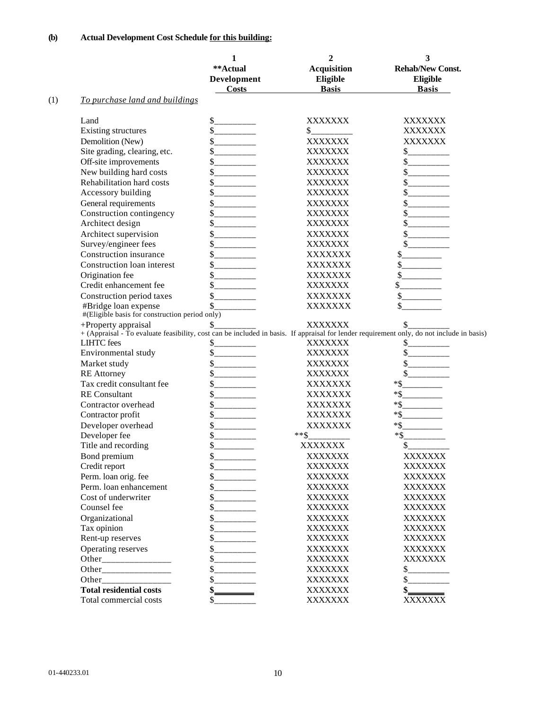|     |                                                                        | 1<br>**Actual<br>Development<br><b>Costs</b> | $\overline{2}$<br><b>Acquisition</b><br>Eligible<br><b>Basis</b> | 3<br><b>Rehab/New Const.</b><br>Eligible<br><b>Basis</b>                                                                                                                 |
|-----|------------------------------------------------------------------------|----------------------------------------------|------------------------------------------------------------------|--------------------------------------------------------------------------------------------------------------------------------------------------------------------------|
| (1) | To purchase land and buildings                                         |                                              |                                                                  |                                                                                                                                                                          |
|     | Land                                                                   |                                              | <b>XXXXXXX</b>                                                   | XXXXXXX                                                                                                                                                                  |
|     | <b>Existing structures</b>                                             | $S$ _________                                | \$.                                                              | XXXXXXX                                                                                                                                                                  |
|     | Demolition (New)                                                       | $S$ <sub>____________</sub>                  | XXXXXXX                                                          | <b>XXXXXXX</b>                                                                                                                                                           |
|     | Site grading, clearing, etc.                                           | \$<br>__________                             | XXXXXXX                                                          | $S$ __________                                                                                                                                                           |
|     | Off-site improvements                                                  | \$                                           | XXXXXXX                                                          | $S$ <sub>__________</sub>                                                                                                                                                |
|     | New building hard costs                                                | \$                                           | XXXXXXX                                                          | s                                                                                                                                                                        |
|     | Rehabilitation hard costs                                              |                                              | XXXXXXX                                                          |                                                                                                                                                                          |
|     | Accessory building                                                     | \$                                           | XXXXXXX                                                          |                                                                                                                                                                          |
|     | General requirements                                                   | \$                                           | <b>XXXXXXX</b>                                                   | $\frac{\text{S}}{\text{S}}$                                                                                                                                              |
|     | Construction contingency                                               |                                              | <b>XXXXXXX</b>                                                   |                                                                                                                                                                          |
|     | Architect design                                                       | \$                                           | XXXXXXX                                                          | s                                                                                                                                                                        |
|     | Architect supervision                                                  | \$                                           | <b>XXXXXXX</b>                                                   |                                                                                                                                                                          |
|     | Survey/engineer fees                                                   | \$                                           | XXXXXXX                                                          |                                                                                                                                                                          |
|     | Construction insurance                                                 | \$                                           | XXXXXXX                                                          | \$                                                                                                                                                                       |
|     | Construction loan interest                                             | $S$ _________                                | XXXXXXX                                                          | $\frac{\text{S}}{\text{S}}$                                                                                                                                              |
|     | Origination fee                                                        | \$<br>__________                             | XXXXXXX                                                          | $\sim$                                                                                                                                                                   |
|     | Credit enhancement fee                                                 | \$<br>$\overline{\phantom{a}}$               | XXXXXXX                                                          |                                                                                                                                                                          |
|     | Construction period taxes                                              | \$                                           | XXXXXXX                                                          | \$                                                                                                                                                                       |
|     | #Bridge loan expense<br>#(Eligible basis for construction period only) | \$                                           | XXXXXXX                                                          | \$                                                                                                                                                                       |
|     | +Property appraisal                                                    | \$                                           | XXXXXXX                                                          | $\mathcal{L}_{\mathcal{L}}$<br>+ (Appraisal - To evaluate feasibility, cost can be included in basis. If appraisal for lender requirement only, do not include in basis) |
|     | <b>LIHTC</b> fees                                                      | \$.                                          | XXXXXXX                                                          | \$                                                                                                                                                                       |
|     | Environmental study                                                    | $\sim$                                       | XXXXXXX                                                          |                                                                                                                                                                          |
|     | Market study                                                           | \$                                           | XXXXXXX                                                          |                                                                                                                                                                          |
|     | <b>RE</b> Attorney                                                     | \$                                           | XXXXXXX                                                          |                                                                                                                                                                          |
|     | Tax credit consultant fee                                              |                                              | XXXXXXX                                                          |                                                                                                                                                                          |
|     | <b>RE</b> Consultant                                                   | \$                                           | XXXXXXX                                                          | $*$ \$                                                                                                                                                                   |
|     | Contractor overhead                                                    | \$                                           | XXXXXXX                                                          |                                                                                                                                                                          |
|     | Contractor profit                                                      | \$                                           | <b>XXXXXXX</b>                                                   | $*$ \$                                                                                                                                                                   |
|     | Developer overhead                                                     | \$                                           | XXXXXXX                                                          | $*$ \$                                                                                                                                                                   |
|     | Developer fee                                                          | \$                                           | $***$ \$                                                         | $*$ \$                                                                                                                                                                   |
|     | Title and recording                                                    | \$                                           | XXXXXXX                                                          | \$                                                                                                                                                                       |
|     | Bond premium                                                           |                                              | XXXXXXX                                                          | XXXXXXX                                                                                                                                                                  |
|     | Credit report                                                          | $\mathsf{s}$<br>_______                      | XXXXXXX                                                          | XXXXXXX                                                                                                                                                                  |
|     | Perm. loan orig. fee                                                   |                                              | XXXXXXX                                                          | XXXXXXX                                                                                                                                                                  |
|     | Perm. loan enhancement                                                 |                                              | XXXXXXX                                                          | XXXXXXX                                                                                                                                                                  |
|     | Cost of underwriter                                                    |                                              | XXXXXXX                                                          | XXXXXXX                                                                                                                                                                  |
|     | Counsel fee                                                            |                                              | XXXXXXX                                                          | XXXXXXX                                                                                                                                                                  |
|     | Organizational                                                         |                                              | XXXXXXX                                                          | XXXXXXX                                                                                                                                                                  |
|     | Tax opinion                                                            | $S$ __________                               | XXXXXXX                                                          | XXXXXXX                                                                                                                                                                  |
|     | Rent-up reserves                                                       |                                              | XXXXXXX                                                          | XXXXXXX                                                                                                                                                                  |
|     | Operating reserves                                                     | $S$ __________                               | XXXXXXX                                                          | XXXXXXX                                                                                                                                                                  |
|     |                                                                        |                                              | XXXXXXX                                                          | XXXXXXX                                                                                                                                                                  |
|     |                                                                        |                                              | XXXXXXX                                                          | \$<br>$\overline{\phantom{a}}$                                                                                                                                           |
|     |                                                                        | \$                                           | XXXXXXX                                                          | \$                                                                                                                                                                       |
|     | <b>Total residential costs</b>                                         | \$                                           | XXXXXXX                                                          | \$                                                                                                                                                                       |
|     | Total commercial costs                                                 | \$                                           | XXXXXXX                                                          | <b>XXXXXXX</b>                                                                                                                                                           |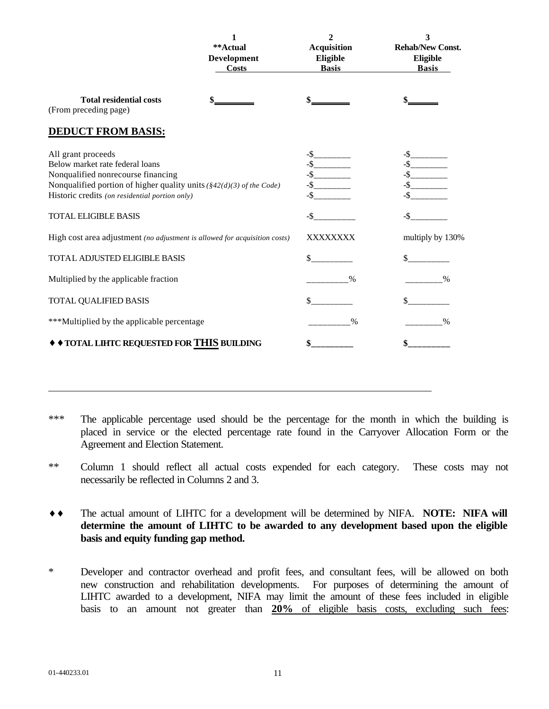|                                                                                                                                                                                                                                                                | 1<br>**Actual<br>Development<br><b>Costs</b> | $\overline{2}$<br><b>Acquisition</b><br>Eligible<br><b>Basis</b> | 3<br><b>Rehab/New Const.</b><br>Eligible<br><b>Basis</b> |
|----------------------------------------------------------------------------------------------------------------------------------------------------------------------------------------------------------------------------------------------------------------|----------------------------------------------|------------------------------------------------------------------|----------------------------------------------------------|
| <b>Total residential costs</b><br>(From preceding page)                                                                                                                                                                                                        |                                              |                                                                  |                                                          |
| <b>DEDUCT FROM BASIS:</b>                                                                                                                                                                                                                                      |                                              |                                                                  |                                                          |
| All grant proceeds<br>Below market rate federal loans<br>Nonqualified nonrecourse financing<br>Nonqualified portion of higher quality units $(\frac{8}{2}(d)(3)$ of the Code)<br>Historic credits (on residential portion only)<br><b>TOTAL ELIGIBLE BASIS</b> |                                              | $-$ \$_________<br>$-S$                                          | $-\$ -S                                                  |
| High cost area adjustment (no adjustment is allowed for acquisition costs)                                                                                                                                                                                     |                                              | XXXXXXXX                                                         | multiply by 130%                                         |
| TOTAL ADJUSTED ELIGIBLE BASIS                                                                                                                                                                                                                                  |                                              | \$                                                               | \$                                                       |
| Multiplied by the applicable fraction                                                                                                                                                                                                                          |                                              | $\frac{0}{0}$                                                    |                                                          |
| <b>TOTAL QUALIFIED BASIS</b>                                                                                                                                                                                                                                   |                                              | \$                                                               | $\mathbb{S}^-$                                           |
| ***Multiplied by the applicable percentage                                                                                                                                                                                                                     |                                              | $\frac{0}{0}$                                                    | $\%$                                                     |
| TOTAL LIHTC REQUESTED FOR THIS BUILDING                                                                                                                                                                                                                        |                                              |                                                                  | \$                                                       |

- \*\*\* The applicable percentage used should be the percentage for the month in which the building is placed in service or the elected percentage rate found in the Carryover Allocation Form or the Agreement and Election Statement.
- \*\* Column 1 should reflect all actual costs expended for each category. These costs may not necessarily be reflected in Columns 2 and 3.
- **¨ ¨** The actual amount of LIHTC for a development will be determined by NIFA. **NOTE: NIFA will determine the amount of LIHTC to be awarded to any development based upon the eligible basis and equity funding gap method.**
- \* Developer and contractor overhead and profit fees, and consultant fees, will be allowed on both new construction and rehabilitation developments. For purposes of determining the amount of LIHTC awarded to a development, NIFA may limit the amount of these fees included in eligible basis to an amount not greater than **20%** of eligible basis costs, excluding such fees: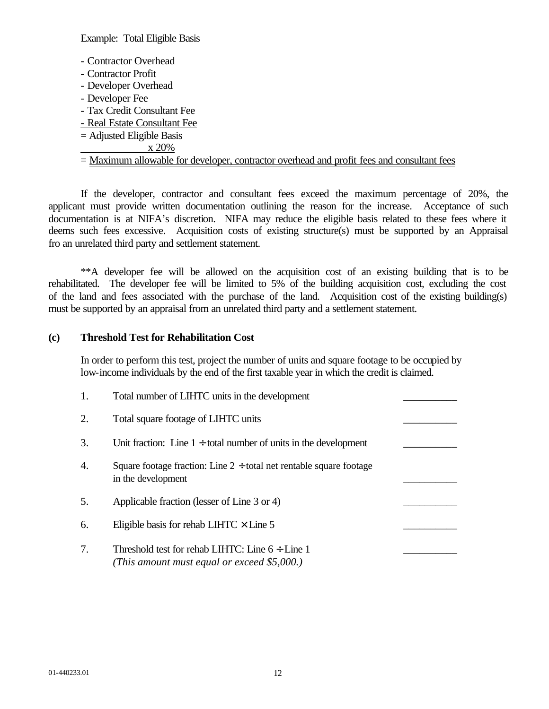Example: Total Eligible Basis

- Contractor Overhead
- Contractor Profit
- Developer Overhead
- Developer Fee
- Tax Credit Consultant Fee
- Real Estate Consultant Fee
- = Adjusted Eligible Basis
- x 20%

# = Maximum allowable for developer, contractor overhead and profit fees and consultant fees

If the developer, contractor and consultant fees exceed the maximum percentage of 20%, the applicant must provide written documentation outlining the reason for the increase. Acceptance of such documentation is at NIFA's discretion. NIFA may reduce the eligible basis related to these fees where it deems such fees excessive. Acquisition costs of existing structure(s) must be supported by an Appraisal fro an unrelated third party and settlement statement.

\*\*A developer fee will be allowed on the acquisition cost of an existing building that is to be rehabilitated. The developer fee will be limited to 5% of the building acquisition cost, excluding the cost of the land and fees associated with the purchase of the land. Acquisition cost of the existing building(s) must be supported by an appraisal from an unrelated third party and a settlement statement.

## **(c) Threshold Test for Rehabilitation Cost**

In order to perform this test, project the number of units and square footage to be occupied by low-income individuals by the end of the first taxable year in which the credit is claimed.

|    | Total number of LIHTC units in the development                                                      |  |
|----|-----------------------------------------------------------------------------------------------------|--|
| 2. | Total square footage of LIHTC units                                                                 |  |
| 3. | Unit fraction: Line $1 \div$ total number of units in the development                               |  |
| 4. | Square footage fraction: Line $2 \div$ total net rentable square footage<br>in the development      |  |
| 5. | Applicable fraction (lesser of Line 3 or 4)                                                         |  |
| 6. | Eligible basis for rehab LIHTC $\times$ Line 5                                                      |  |
| 7. | Threshold test for rehab LIHTC: Line $6 \div$ Line 1<br>(This amount must equal or exceed \$5,000.) |  |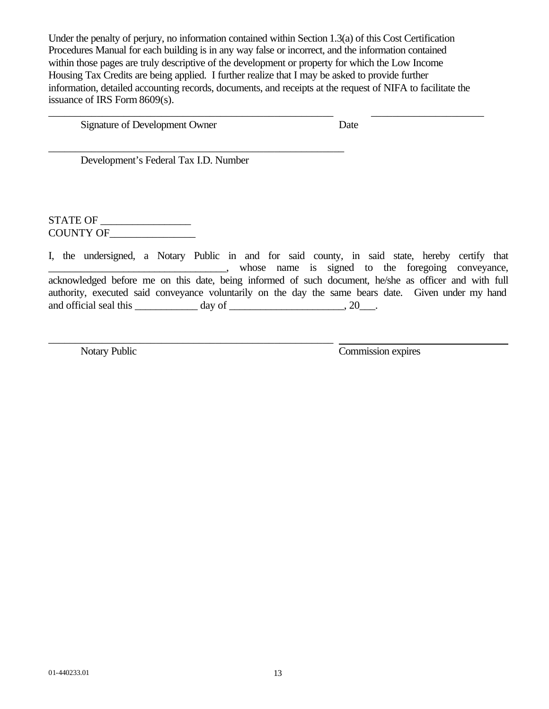Under the penalty of perjury, no information contained within Section 1.3(a) of this Cost Certification Procedures Manual for each building is in any way false or incorrect, and the information contained within those pages are truly descriptive of the development or property for which the Low Income Housing Tax Credits are being applied. I further realize that I may be asked to provide further information, detailed accounting records, documents, and receipts at the request of NIFA to facilitate the issuance of IRS Form 8609(s).

\_\_\_\_\_\_\_\_\_\_\_\_\_\_\_\_\_\_\_\_\_\_\_\_\_\_\_\_\_\_\_\_\_\_\_\_\_\_\_\_\_\_\_\_\_\_\_\_\_\_\_\_\_ \_\_\_\_\_\_\_\_\_\_\_\_\_\_\_\_\_\_\_\_\_

Signature of Development Owner Date

Development's Federal Tax I.D. Number

\_\_\_\_\_\_\_\_\_\_\_\_\_\_\_\_\_\_\_\_\_\_\_\_\_\_\_\_\_\_\_\_\_\_\_\_\_\_\_\_\_\_\_\_\_\_\_\_\_\_\_\_\_\_\_

\_\_\_\_\_\_\_\_\_\_\_\_\_\_\_\_\_\_\_\_\_\_\_\_\_\_\_\_\_\_\_\_\_\_\_\_\_\_\_\_\_\_\_\_\_\_\_\_\_\_\_\_\_

STATE OF \_\_\_\_\_\_\_\_\_\_\_\_\_\_\_\_\_ COUNTY OF\_\_\_\_\_\_\_\_\_\_\_\_\_\_\_\_

I, the undersigned, a Notary Public in and for said county, in said state, hereby certify that **Example 2.1** The same is signed to the foregoing conveyance, acknowledged before me on this date, being informed of such document, he/she as officer and with full authority, executed said conveyance voluntarily on the day the same bears date. Given under my hand and official seal this  $\qquad \qquad \text{day of} \qquad \qquad \text{say} \qquad \text{say} \qquad \text{say} \qquad \text{say} \qquad \text{say} \qquad \text{say} \qquad \text{say} \qquad \text{say} \qquad \text{say} \qquad \text{say} \qquad \text{say} \qquad \text{say} \qquad \text{say} \qquad \text{say} \qquad \text{say} \qquad \text{say} \qquad \text{say} \qquad \text{say} \qquad \text{say} \qquad \text{say} \qquad \text{say} \qquad \text{say} \qquad \text{$ 

Notary Public Commission expires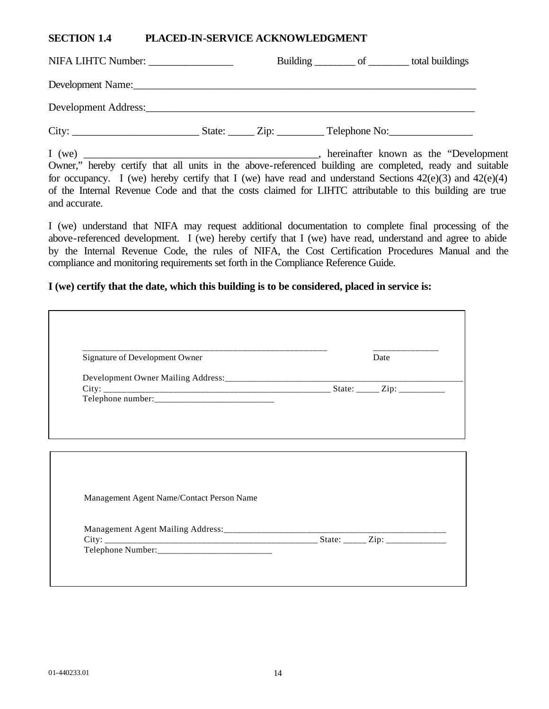## **SECTION 1.4 PLACED-IN-SERVICE ACKNOWLEDGMENT**

|                                                                                                          |  | Building __________ of __________ total buildings |  |
|----------------------------------------------------------------------------------------------------------|--|---------------------------------------------------|--|
|                                                                                                          |  |                                                   |  |
|                                                                                                          |  |                                                   |  |
|                                                                                                          |  |                                                   |  |
| Owner," hereby certify that all units in the above-referenced building are completed, ready and suitable |  |                                                   |  |
|                                                                                                          |  |                                                   |  |

for occupancy. I (we) hereby certify that I (we) have read and understand Sections  $42(e)(3)$  and  $42(e)(4)$ of the Internal Revenue Code and that the costs claimed for LIHTC attributable to this building are true and accurate.

I (we) understand that NIFA may request additional documentation to complete final processing of the above-referenced development. I (we) hereby certify that I (we) have read, understand and agree to abide by the Internal Revenue Code, the rules of NIFA, the Cost Certification Procedures Manual and the compliance and monitoring requirements set forth in the Compliance Reference Guide.

#### **I (we) certify that the date, which this building is to be considered, placed in service is:**

| Signature of Development Owner            | Date |
|-------------------------------------------|------|
|                                           |      |
|                                           |      |
|                                           |      |
| Management Agent Name/Contact Person Name |      |
|                                           |      |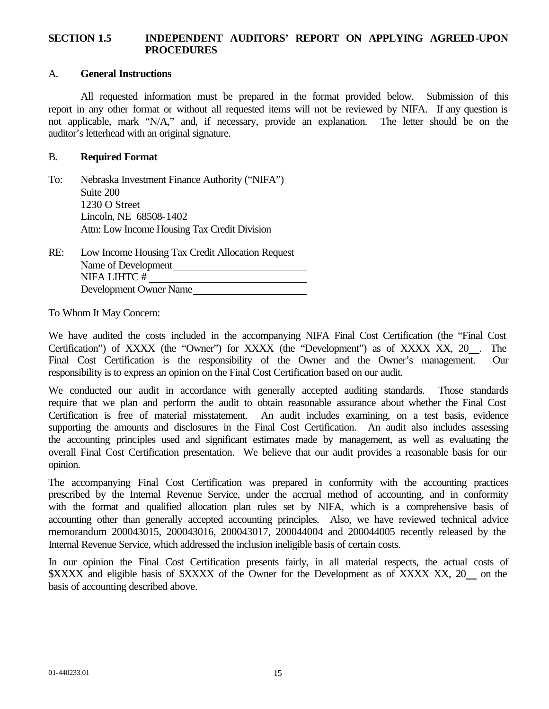## **SECTION 1.5 INDEPENDENT AUDITORS' REPORT ON APPLYING AGREED-UPON PROCEDURES**

#### A. **General Instructions**

All requested information must be prepared in the format provided below. Submission of this report in any other format or without all requested items will not be reviewed by NIFA. If any question is not applicable, mark "N/A," and, if necessary, provide an explanation. The letter should be on the auditor's letterhead with an original signature.

#### B. **Required Format**

| To: | Nebraska Investment Finance Authority ("NIFA") |
|-----|------------------------------------------------|
|     | Suite 200                                      |
|     | 1230 O Street                                  |
|     | Lincoln, NE 68508-1402                         |
|     | Attn: Low Income Housing Tax Credit Division   |

RE: Low Income Housing Tax Credit Allocation Request Name of Development NIFA LIHTC # Development Owner Name

To Whom It May Concern:

We have audited the costs included in the accompanying NIFA Final Cost Certification (the "Final Cost Certification") of XXXX (the "Owner") for XXXX (the "Development") as of XXXX XX, 20 . The Final Cost Certification is the responsibility of the Owner and the Owner's management. Our responsibility is to express an opinion on the Final Cost Certification based on our audit.

We conducted our audit in accordance with generally accepted auditing standards. Those standards require that we plan and perform the audit to obtain reasonable assurance about whether the Final Cost Certification is free of material misstatement. An audit includes examining, on a test basis, evidence supporting the amounts and disclosures in the Final Cost Certification. An audit also includes assessing the accounting principles used and significant estimates made by management, as well as evaluating the overall Final Cost Certification presentation. We believe that our audit provides a reasonable basis for our opinion.

The accompanying Final Cost Certification was prepared in conformity with the accounting practices prescribed by the Internal Revenue Service, under the accrual method of accounting, and in conformity with the format and qualified allocation plan rules set by NIFA, which is a comprehensive basis of accounting other than generally accepted accounting principles. Also, we have reviewed technical advice memorandum 200043015, 200043016, 200043017, 200044004 and 200044005 recently released by the Internal Revenue Service, which addressed the inclusion ineligible basis of certain costs.

In our opinion the Final Cost Certification presents fairly, in all material respects, the actual costs of \$XXXX and eligible basis of \$XXXX of the Owner for the Development as of XXXX XX, 20 on the basis of accounting described above.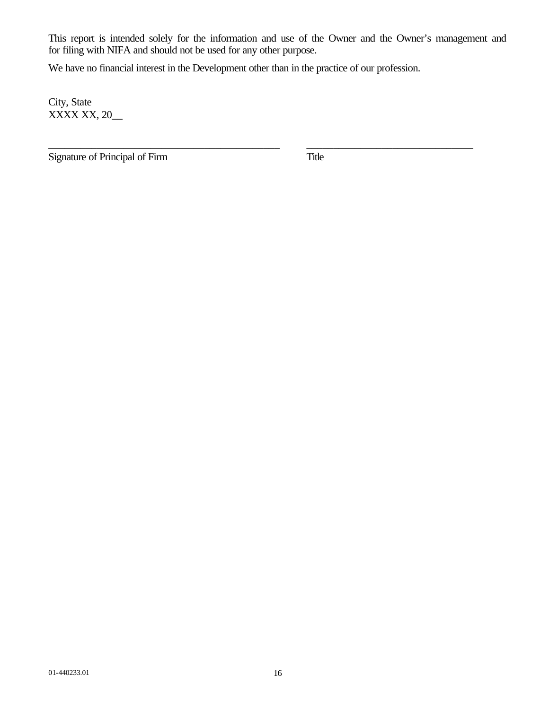This report is intended solely for the information and use of the Owner and the Owner's management and for filing with NIFA and should not be used for any other purpose.

\_\_\_\_\_\_\_\_\_\_\_\_\_\_\_\_\_\_\_\_\_\_\_\_\_\_\_\_\_\_\_\_\_\_\_\_\_\_\_\_\_\_\_ \_\_\_\_\_\_\_\_\_\_\_\_\_\_\_\_\_\_\_\_\_\_\_\_\_\_\_\_\_\_\_

We have no financial interest in the Development other than in the practice of our profession.

City, State XXXX XX, 20\_\_

Signature of Principal of Firm Title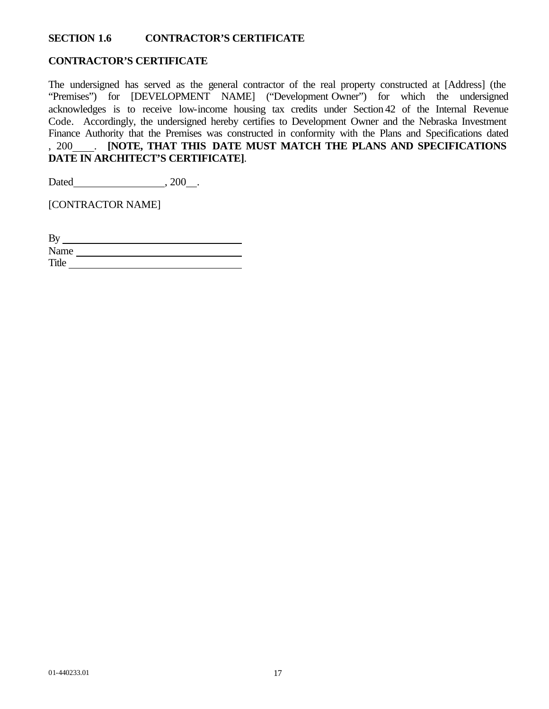## **SECTION 1.6 CONTRACTOR'S CERTIFICATE**

#### **CONTRACTOR'S CERTIFICATE**

The undersigned has served as the general contractor of the real property constructed at [Address] (the "Premises") for [DEVELOPMENT NAME] ("Development Owner") for which the undersigned acknowledges is to receive low-income housing tax credits under Section 42 of the Internal Revenue Code. Accordingly, the undersigned hereby certifies to Development Owner and the Nebraska Investment Finance Authority that the Premises was constructed in conformity with the Plans and Specifications dated , 200 . **[NOTE, THAT THIS DATE MUST MATCH THE PLANS AND SPECIFICATIONS DATE IN ARCHITECT'S CERTIFICATE]**.

Dated , 200 .

[CONTRACTOR NAME]

| By    |  |
|-------|--|
| Name  |  |
| Title |  |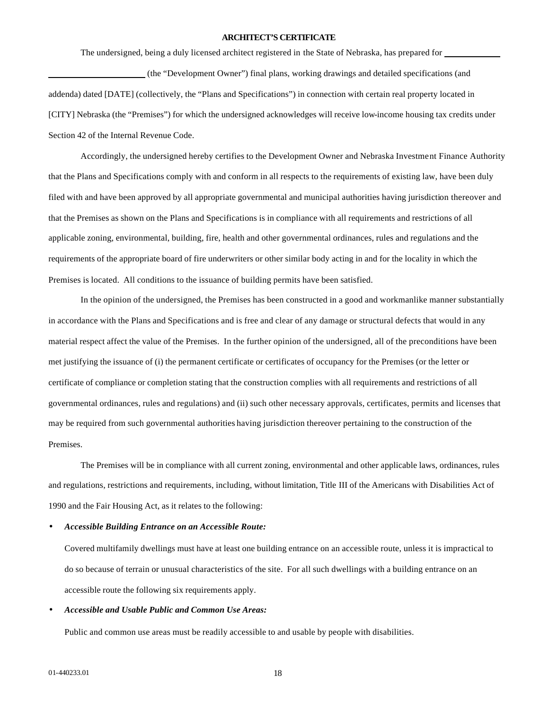#### **ARCHITECT'S CERTIFICATE**

The undersigned, being a duly licensed architect registered in the State of Nebraska, has prepared for

 (the "Development Owner") final plans, working drawings and detailed specifications (and addenda) dated [DATE] (collectively, the "Plans and Specifications") in connection with certain real property located in [CITY] Nebraska (the "Premises") for which the undersigned acknowledges will receive low-income housing tax credits under Section 42 of the Internal Revenue Code.

Accordingly, the undersigned hereby certifies to the Development Owner and Nebraska Investment Finance Authority that the Plans and Specifications comply with and conform in all respects to the requirements of existing law, have been duly filed with and have been approved by all appropriate governmental and municipal authorities having jurisdiction thereover and that the Premises as shown on the Plans and Specifications is in compliance with all requirements and restrictions of all applicable zoning, environmental, building, fire, health and other governmental ordinances, rules and regulations and the requirements of the appropriate board of fire underwriters or other similar body acting in and for the locality in which the Premises is located. All conditions to the issuance of building permits have been satisfied.

In the opinion of the undersigned, the Premises has been constructed in a good and workmanlike manner substantially in accordance with the Plans and Specifications and is free and clear of any damage or structural defects that would in any material respect affect the value of the Premises. In the further opinion of the undersigned, all of the preconditions have been met justifying the issuance of (i) the permanent certificate or certificates of occupancy for the Premises (or the letter or certificate of compliance or completion stating that the construction complies with all requirements and restrictions of all governmental ordinances, rules and regulations) and (ii) such other necessary approvals, certificates, permits and licenses that may be required from such governmental authorities having jurisdiction thereover pertaining to the construction of the Premises.

The Premises will be in compliance with all current zoning, environmental and other applicable laws, ordinances, rules and regulations, restrictions and requirements, including, without limitation, Title III of the Americans with Disabilities Act of 1990 and the Fair Housing Act, as it relates to the following:

#### • *Accessible Building Entrance on an Accessible Route:*

Covered multifamily dwellings must have at least one building entrance on an accessible route, unless it is impractical to do so because of terrain or unusual characteristics of the site. For all such dwellings with a building entrance on an accessible route the following six requirements apply.

#### • *Accessible and Usable Public and Common Use Areas:*

Public and common use areas must be readily accessible to and usable by people with disabilities.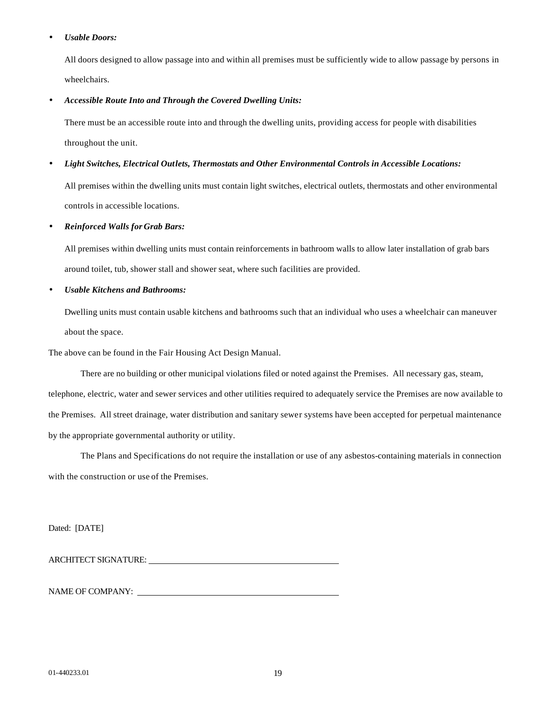#### • *Usable Doors:*

All doors designed to allow passage into and within all premises must be sufficiently wide to allow passage by persons in wheelchairs.

#### • *Accessible Route Into and Through the Covered Dwelling Units:*

There must be an accessible route into and through the dwelling units, providing access for people with disabilities throughout the unit.

#### • *Light Switches, Electrical Outlets, Thermostats and Other Environmental Controls in Accessible Locations:*

All premises within the dwelling units must contain light switches, electrical outlets, thermostats and other environmental controls in accessible locations.

#### • *Reinforced Walls for Grab Bars:*

All premises within dwelling units must contain reinforcements in bathroom walls to allow later installation of grab bars around toilet, tub, shower stall and shower seat, where such facilities are provided.

#### • *Usable Kitchens and Bathrooms:*

Dwelling units must contain usable kitchens and bathrooms such that an individual who uses a wheelchair can maneuver about the space.

The above can be found in the Fair Housing Act Design Manual.

There are no building or other municipal violations filed or noted against the Premises. All necessary gas, steam, telephone, electric, water and sewer services and other utilities required to adequately service the Premises are now available to the Premises. All street drainage, water distribution and sanitary sewer systems have been accepted for perpetual maintenance by the appropriate governmental authority or utility.

The Plans and Specifications do not require the installation or use of any asbestos-containing materials in connection with the construction or use of the Premises.

Dated: [DATE]

ARCHITECT SIGNATURE:

NAME OF COMPANY: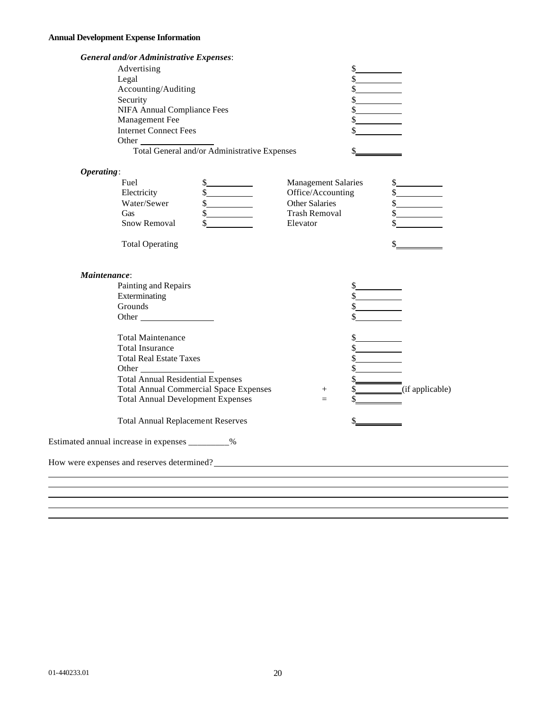# **Annual Development Expense Information**

| <b>General and/or Administrative Expenses:</b>                                                                                                                                                                                       |                             |                      |
|--------------------------------------------------------------------------------------------------------------------------------------------------------------------------------------------------------------------------------------|-----------------------------|----------------------|
| Advertising                                                                                                                                                                                                                          |                             |                      |
| Legal                                                                                                                                                                                                                                |                             |                      |
| Accounting/Auditing                                                                                                                                                                                                                  | $\frac{\text{S}}{\text{S}}$ |                      |
| Security                                                                                                                                                                                                                             | \$                          |                      |
| <b>NIFA Annual Compliance Fees</b>                                                                                                                                                                                                   |                             |                      |
| Management Fee                                                                                                                                                                                                                       |                             |                      |
| <b>Internet Connect Fees</b>                                                                                                                                                                                                         |                             |                      |
| Other                                                                                                                                                                                                                                |                             |                      |
| Total General and/or Administrative Expenses                                                                                                                                                                                         |                             |                      |
| Operating:                                                                                                                                                                                                                           |                             |                      |
| Fuel<br>s                                                                                                                                                                                                                            | <b>Management Salaries</b>  | $\frac{1}{2}$        |
| Electricity<br>s                                                                                                                                                                                                                     | Office/Accounting           | s                    |
| Water/Sewer<br>s                                                                                                                                                                                                                     | Other Salaries              | $\frac{1}{2}$        |
| $\frac{1}{2}$<br>Gas                                                                                                                                                                                                                 | <b>Trash Removal</b>        | $\frac{\sqrt{2}}{2}$ |
| Snow Removal<br>\$                                                                                                                                                                                                                   | Elevator                    |                      |
| <b>Total Operating</b>                                                                                                                                                                                                               |                             |                      |
| Maintenance:                                                                                                                                                                                                                         |                             |                      |
| Painting and Repairs                                                                                                                                                                                                                 |                             |                      |
| Exterminating                                                                                                                                                                                                                        | $\frac{\text{S}}{\text{S}}$ |                      |
| Grounds                                                                                                                                                                                                                              |                             |                      |
| Other                                                                                                                                                                                                                                |                             |                      |
| <b>Total Maintenance</b>                                                                                                                                                                                                             |                             |                      |
| <b>Total Insurance</b>                                                                                                                                                                                                               |                             |                      |
| <b>Total Real Estate Taxes</b>                                                                                                                                                                                                       | \$                          |                      |
| Other                                                                                                                                                                                                                                |                             |                      |
| <b>Total Annual Residential Expenses</b>                                                                                                                                                                                             |                             |                      |
| <b>Total Annual Commercial Space Expenses</b>                                                                                                                                                                                        | $^{+}$                      | (if applicable)      |
| <b>Total Annual Development Expenses</b>                                                                                                                                                                                             | $=$                         |                      |
| <b>Total Annual Replacement Reserves</b>                                                                                                                                                                                             |                             |                      |
| Estimated annual increase in expenses _________%                                                                                                                                                                                     |                             |                      |
| How were expenses and reserves determined?<br><u>Lettermined</u> and the contract of the contract of the contract of the contract of the contract of the contract of the contract of the contract of the contract of the contract of |                             |                      |
|                                                                                                                                                                                                                                      |                             |                      |
|                                                                                                                                                                                                                                      |                             |                      |
|                                                                                                                                                                                                                                      |                             |                      |
|                                                                                                                                                                                                                                      |                             |                      |
|                                                                                                                                                                                                                                      |                             |                      |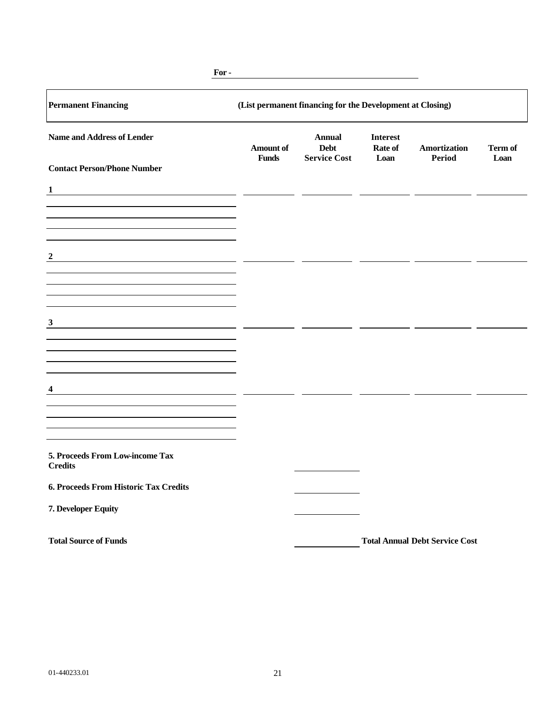| <b>Permanent Financing</b>                                                                                                | (List permanent financing for the Development at Closing) |                       |                                   |                                       |         |  |
|---------------------------------------------------------------------------------------------------------------------------|-----------------------------------------------------------|-----------------------|-----------------------------------|---------------------------------------|---------|--|
| <b>Name and Address of Lender</b>                                                                                         | <b>Amount of</b>                                          | <b>Annual</b><br>Debt | <b>Interest</b><br><b>Rate of</b> | <b>Amortization</b>                   | Term of |  |
| <b>Contact Person/Phone Number</b>                                                                                        | <b>Funds</b>                                              | <b>Service Cost</b>   | Loan                              | <b>Period</b>                         | Loan    |  |
| $\mathbf{1}$                                                                                                              |                                                           |                       |                                   |                                       |         |  |
|                                                                                                                           |                                                           |                       |                                   |                                       |         |  |
| $\boldsymbol{2}$                                                                                                          |                                                           |                       |                                   |                                       |         |  |
|                                                                                                                           |                                                           |                       |                                   |                                       |         |  |
| 3<br><u> 1989 - Johann Barbara, martin amerikan basar dan berasal dalam basa dalam basar dalam basar dalam basa dalam</u> |                                                           |                       |                                   |                                       |         |  |
|                                                                                                                           |                                                           |                       |                                   |                                       |         |  |
| 4                                                                                                                         |                                                           |                       |                                   |                                       |         |  |
|                                                                                                                           |                                                           |                       |                                   |                                       |         |  |
|                                                                                                                           |                                                           |                       |                                   |                                       |         |  |
| 5. Proceeds From Low-income Tax<br><b>Credits</b>                                                                         |                                                           |                       |                                   |                                       |         |  |
| 6. Proceeds From Historic Tax Credits                                                                                     |                                                           |                       |                                   |                                       |         |  |
| 7. Developer Equity                                                                                                       |                                                           |                       |                                   |                                       |         |  |
| <b>Total Source of Funds</b>                                                                                              |                                                           |                       |                                   | <b>Total Annual Debt Service Cost</b> |         |  |

**For -**